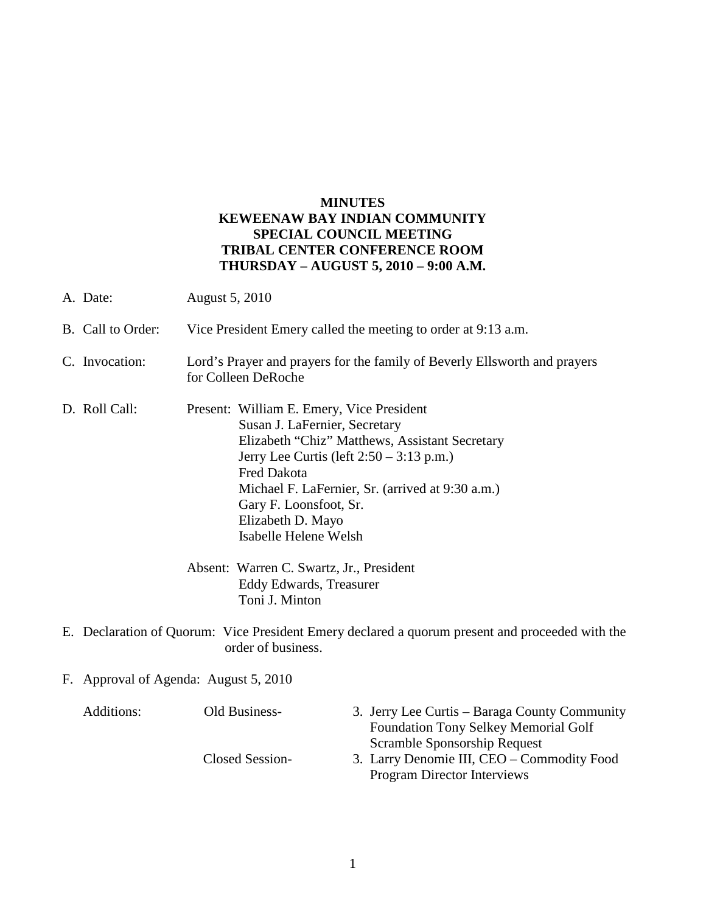# **MINUTES KEWEENAW BAY INDIAN COMMUNITY SPECIAL COUNCIL MEETING TRIBAL CENTER CONFERENCE ROOM THURSDAY – AUGUST 5, 2010 – 9:00 A.M.**

- A. Date: August 5, 2010 B. Call to Order: Vice President Emery called the meeting to order at 9:13 a.m. C. Invocation: Lord's Prayer and prayers for the family of Beverly Ellsworth and prayers for Colleen DeRoche D. Roll Call: Present: William E. Emery, Vice President Susan J. LaFernier, Secretary Elizabeth "Chiz" Matthews, Assistant Secretary Jerry Lee Curtis (left 2:50 – 3:13 p.m.) Fred Dakota Michael F. LaFernier, Sr. (arrived at 9:30 a.m.) Gary F. Loonsfoot, Sr. Elizabeth D. Mayo Isabelle Helene Welsh Absent: Warren C. Swartz, Jr., President Eddy Edwards, Treasurer Toni J. Minton E. Declaration of Quorum: Vice President Emery declared a quorum present and proceeded with the order of business.
- F. Approval of Agenda: August 5, 2010

| Additions: | Old Business-   | 3. Jerry Lee Curtis – Baraga County Community |
|------------|-----------------|-----------------------------------------------|
|            |                 | <b>Foundation Tony Selkey Memorial Golf</b>   |
|            |                 | Scramble Sponsorship Request                  |
|            | Closed Session- | 3. Larry Denomie III, CEO – Commodity Food    |
|            |                 | <b>Program Director Interviews</b>            |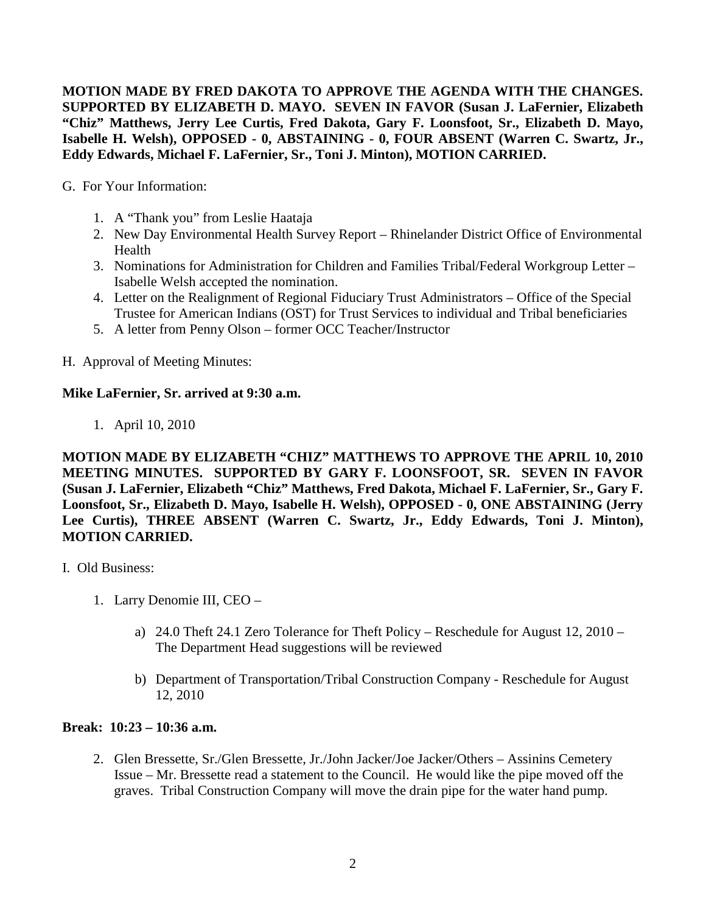**MOTION MADE BY FRED DAKOTA TO APPROVE THE AGENDA WITH THE CHANGES. SUPPORTED BY ELIZABETH D. MAYO. SEVEN IN FAVOR (Susan J. LaFernier, Elizabeth "Chiz" Matthews, Jerry Lee Curtis, Fred Dakota, Gary F. Loonsfoot, Sr., Elizabeth D. Mayo, Isabelle H. Welsh), OPPOSED - 0, ABSTAINING - 0, FOUR ABSENT (Warren C. Swartz, Jr., Eddy Edwards, Michael F. LaFernier, Sr., Toni J. Minton), MOTION CARRIED.**

G. For Your Information:

- 1. A "Thank you" from Leslie Haataja
- 2. New Day Environmental Health Survey Report Rhinelander District Office of Environmental Health
- 3. Nominations for Administration for Children and Families Tribal/Federal Workgroup Letter Isabelle Welsh accepted the nomination.
- 4. Letter on the Realignment of Regional Fiduciary Trust Administrators Office of the Special Trustee for American Indians (OST) for Trust Services to individual and Tribal beneficiaries
- 5. A letter from Penny Olson former OCC Teacher/Instructor

H. Approval of Meeting Minutes:

# **Mike LaFernier, Sr. arrived at 9:30 a.m.**

1. April 10, 2010

**MOTION MADE BY ELIZABETH "CHIZ" MATTHEWS TO APPROVE THE APRIL 10, 2010 MEETING MINUTES. SUPPORTED BY GARY F. LOONSFOOT, SR. SEVEN IN FAVOR (Susan J. LaFernier, Elizabeth "Chiz" Matthews, Fred Dakota, Michael F. LaFernier, Sr., Gary F. Loonsfoot, Sr., Elizabeth D. Mayo, Isabelle H. Welsh), OPPOSED - 0, ONE ABSTAINING (Jerry Lee Curtis), THREE ABSENT (Warren C. Swartz, Jr., Eddy Edwards, Toni J. Minton), MOTION CARRIED.**

- I. Old Business:
	- 1. Larry Denomie III, CEO
		- a) 24.0 Theft 24.1 Zero Tolerance for Theft Policy Reschedule for August 12, 2010 The Department Head suggestions will be reviewed
		- b) Department of Transportation/Tribal Construction Company Reschedule for August 12, 2010

#### **Break: 10:23 – 10:36 a.m.**

2. Glen Bressette, Sr./Glen Bressette, Jr./John Jacker/Joe Jacker/Others – Assinins Cemetery Issue – Mr. Bressette read a statement to the Council. He would like the pipe moved off the graves. Tribal Construction Company will move the drain pipe for the water hand pump.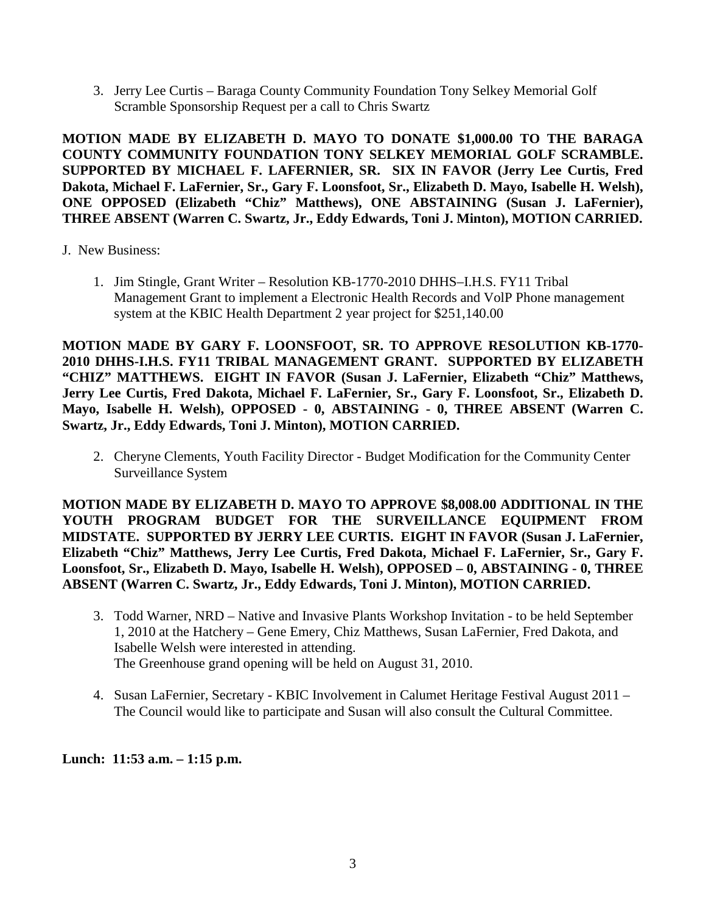3. Jerry Lee Curtis – Baraga County Community Foundation Tony Selkey Memorial Golf Scramble Sponsorship Request per a call to Chris Swartz

**MOTION MADE BY ELIZABETH D. MAYO TO DONATE \$1,000.00 TO THE BARAGA COUNTY COMMUNITY FOUNDATION TONY SELKEY MEMORIAL GOLF SCRAMBLE. SUPPORTED BY MICHAEL F. LAFERNIER, SR. SIX IN FAVOR (Jerry Lee Curtis, Fred Dakota, Michael F. LaFernier, Sr., Gary F. Loonsfoot, Sr., Elizabeth D. Mayo, Isabelle H. Welsh), ONE OPPOSED (Elizabeth "Chiz" Matthews), ONE ABSTAINING (Susan J. LaFernier), THREE ABSENT (Warren C. Swartz, Jr., Eddy Edwards, Toni J. Minton), MOTION CARRIED.** 

- J. New Business:
	- 1. Jim Stingle, Grant Writer Resolution KB-1770-2010 DHHS–I.H.S. FY11 Tribal Management Grant to implement a Electronic Health Records and VolP Phone management system at the KBIC Health Department 2 year project for \$251,140.00

**MOTION MADE BY GARY F. LOONSFOOT, SR. TO APPROVE RESOLUTION KB-1770- 2010 DHHS-I.H.S. FY11 TRIBAL MANAGEMENT GRANT. SUPPORTED BY ELIZABETH "CHIZ" MATTHEWS. EIGHT IN FAVOR (Susan J. LaFernier, Elizabeth "Chiz" Matthews, Jerry Lee Curtis, Fred Dakota, Michael F. LaFernier, Sr., Gary F. Loonsfoot, Sr., Elizabeth D. Mayo, Isabelle H. Welsh), OPPOSED - 0, ABSTAINING - 0, THREE ABSENT (Warren C. Swartz, Jr., Eddy Edwards, Toni J. Minton), MOTION CARRIED.**

2. Cheryne Clements, Youth Facility Director - Budget Modification for the Community Center Surveillance System

**MOTION MADE BY ELIZABETH D. MAYO TO APPROVE \$8,008.00 ADDITIONAL IN THE YOUTH PROGRAM BUDGET FOR THE SURVEILLANCE EQUIPMENT FROM MIDSTATE. SUPPORTED BY JERRY LEE CURTIS. EIGHT IN FAVOR (Susan J. LaFernier, Elizabeth "Chiz" Matthews, Jerry Lee Curtis, Fred Dakota, Michael F. LaFernier, Sr., Gary F. Loonsfoot, Sr., Elizabeth D. Mayo, Isabelle H. Welsh), OPPOSED – 0, ABSTAINING - 0, THREE ABSENT (Warren C. Swartz, Jr., Eddy Edwards, Toni J. Minton), MOTION CARRIED.**

- 3. Todd Warner, NRD Native and Invasive Plants Workshop Invitation to be held September 1, 2010 at the Hatchery – Gene Emery, Chiz Matthews, Susan LaFernier, Fred Dakota, and Isabelle Welsh were interested in attending. The Greenhouse grand opening will be held on August 31, 2010.
- 4. Susan LaFernier, Secretary KBIC Involvement in Calumet Heritage Festival August 2011 The Council would like to participate and Susan will also consult the Cultural Committee.

**Lunch: 11:53 a.m. – 1:15 p.m.**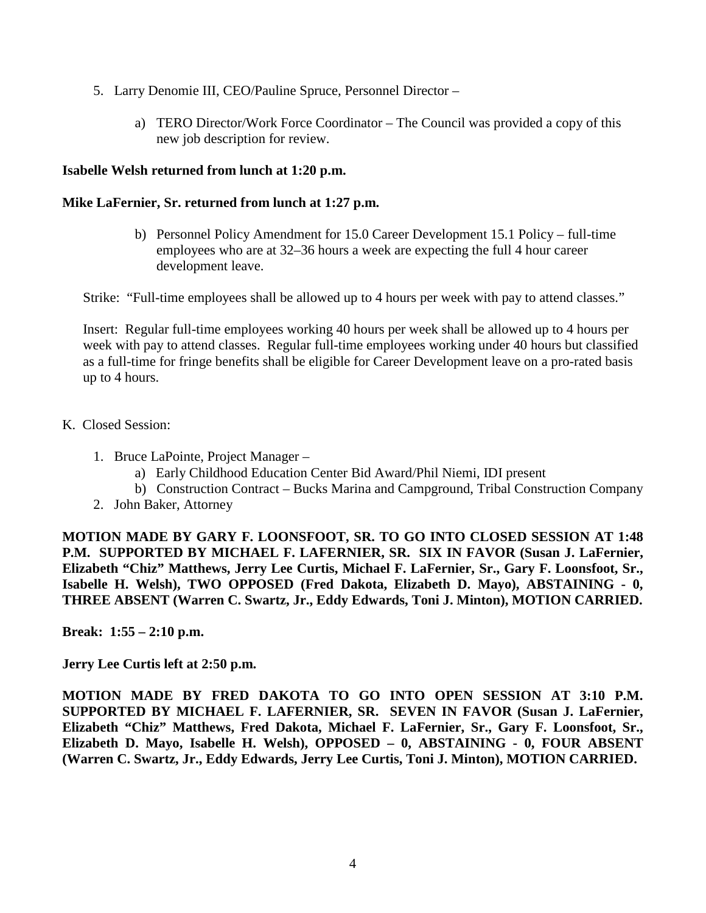- 5. Larry Denomie III, CEO/Pauline Spruce, Personnel Director
	- a) TERO Director/Work Force Coordinator The Council was provided a copy of this new job description for review.

# **Isabelle Welsh returned from lunch at 1:20 p.m.**

# **Mike LaFernier, Sr. returned from lunch at 1:27 p.m.**

b) Personnel Policy Amendment for 15.0 Career Development 15.1 Policy – full-time employees who are at 32–36 hours a week are expecting the full 4 hour career development leave.

Strike: "Full-time employees shall be allowed up to 4 hours per week with pay to attend classes."

Insert: Regular full-time employees working 40 hours per week shall be allowed up to 4 hours per week with pay to attend classes. Regular full-time employees working under 40 hours but classified as a full-time for fringe benefits shall be eligible for Career Development leave on a pro-rated basis up to 4 hours.

#### K. Closed Session:

- 1. Bruce LaPointe, Project Manager
	- a) Early Childhood Education Center Bid Award/Phil Niemi, IDI present
	- b) Construction Contract Bucks Marina and Campground, Tribal Construction Company
- 2. John Baker, Attorney

**MOTION MADE BY GARY F. LOONSFOOT, SR. TO GO INTO CLOSED SESSION AT 1:48 P.M. SUPPORTED BY MICHAEL F. LAFERNIER, SR. SIX IN FAVOR (Susan J. LaFernier, Elizabeth "Chiz" Matthews, Jerry Lee Curtis, Michael F. LaFernier, Sr., Gary F. Loonsfoot, Sr., Isabelle H. Welsh), TWO OPPOSED (Fred Dakota, Elizabeth D. Mayo), ABSTAINING - 0, THREE ABSENT (Warren C. Swartz, Jr., Eddy Edwards, Toni J. Minton), MOTION CARRIED.** 

**Break: 1:55 – 2:10 p.m.**

**Jerry Lee Curtis left at 2:50 p.m.** 

**MOTION MADE BY FRED DAKOTA TO GO INTO OPEN SESSION AT 3:10 P.M. SUPPORTED BY MICHAEL F. LAFERNIER, SR. SEVEN IN FAVOR (Susan J. LaFernier, Elizabeth "Chiz" Matthews, Fred Dakota, Michael F. LaFernier, Sr., Gary F. Loonsfoot, Sr., Elizabeth D. Mayo, Isabelle H. Welsh), OPPOSED – 0, ABSTAINING - 0, FOUR ABSENT (Warren C. Swartz, Jr., Eddy Edwards, Jerry Lee Curtis, Toni J. Minton), MOTION CARRIED.**